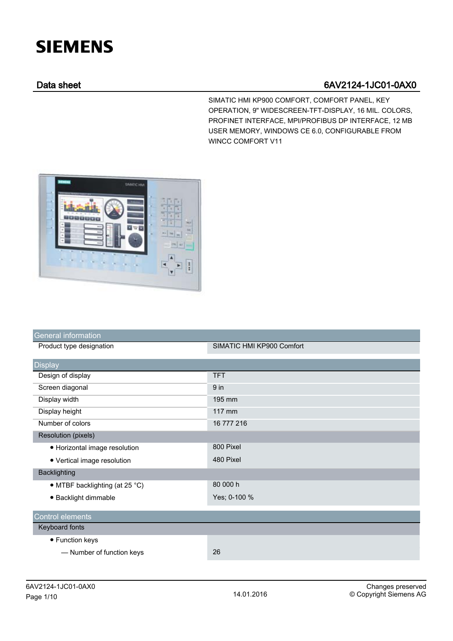## **SIEMENS**

## Data sheet 6AV2124-1JC01-0AX0

SIMATIC HMI KP900 COMFORT, COMFORT PANEL, KEY OPERATION, 9" WIDESCREEN-TFT-DISPLAY, 16 MIL. COLORS, PROFINET INTERFACE, MPI/PROFIBUS DP INTERFACE, 12 MB USER MEMORY, WINDOWS CE 6.0, CONFIGURABLE FROM WINCC COMFORT V11



| General information            |                           |
|--------------------------------|---------------------------|
| Product type designation       | SIMATIC HMI KP900 Comfort |
| <b>Display</b>                 |                           |
| Design of display              | <b>TFT</b>                |
| Screen diagonal                | 9 <sub>in</sub>           |
| Display width                  | 195 mm                    |
| Display height                 | 117 mm                    |
| Number of colors               | 16 777 216                |
| Resolution (pixels)            |                           |
| • Horizontal image resolution  | 800 Pixel                 |
| • Vertical image resolution    | 480 Pixel                 |
| <b>Backlighting</b>            |                           |
| • MTBF backlighting (at 25 °C) | 80 000 h                  |
| · Backlight dimmable           | Yes; 0-100 %              |
| Control elements               |                           |
| Keyboard fonts                 |                           |
| • Function keys                |                           |
| - Number of function keys      | 26                        |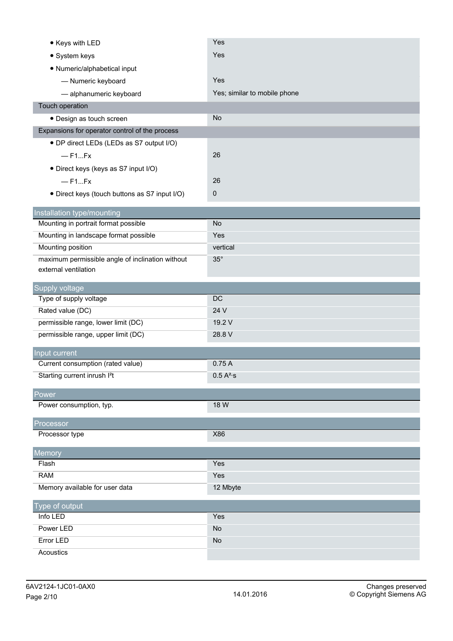| • Keys with LED                                                    | Yes                          |
|--------------------------------------------------------------------|------------------------------|
| • System keys                                                      | Yes                          |
| • Numeric/alphabetical input                                       |                              |
| - Numeric keyboard                                                 | Yes                          |
| - alphanumeric keyboard                                            | Yes; similar to mobile phone |
| Touch operation                                                    |                              |
| · Design as touch screen                                           | <b>No</b>                    |
| Expansions for operator control of the process                     |                              |
| • DP direct LEDs (LEDs as S7 output I/O)                           |                              |
| $-$ F1Fx                                                           | 26                           |
| · Direct keys (keys as S7 input I/O)                               |                              |
| $-$ F1Fx                                                           | 26                           |
| · Direct keys (touch buttons as S7 input I/O)                      | 0                            |
|                                                                    |                              |
| Installation type/mounting<br>Mounting in portrait format possible | <b>No</b>                    |
| Mounting in landscape format possible                              | Yes                          |
| Mounting position                                                  | vertical                     |
| maximum permissible angle of inclination without                   | $35^\circ$                   |
| external ventilation                                               |                              |
|                                                                    |                              |
| Supply voltage<br>Type of supply voltage                           | DC                           |
| Rated value (DC)                                                   | 24 V                         |
| permissible range, lower limit (DC)                                | 19.2 V                       |
|                                                                    |                              |
|                                                                    |                              |
| permissible range, upper limit (DC)                                | 28.8 V                       |
| Input current                                                      |                              |
| Current consumption (rated value)                                  | 0.75A                        |
| Starting current inrush I <sup>2</sup> t                           | 0.5 A <sup>2</sup> ·s        |
| Power                                                              |                              |
| Power consumption, typ.                                            | 18 W                         |
|                                                                    |                              |
| Processor<br>Processor type                                        | X86                          |
|                                                                    |                              |
| Memory                                                             |                              |
| Flash                                                              | Yes                          |
| <b>RAM</b>                                                         | Yes                          |
| Memory available for user data                                     | 12 Mbyte                     |
| Type of output                                                     |                              |
| Info LED                                                           | Yes                          |
| Power LED                                                          | <b>No</b>                    |
| <b>Error LED</b><br>Acoustics                                      | <b>No</b>                    |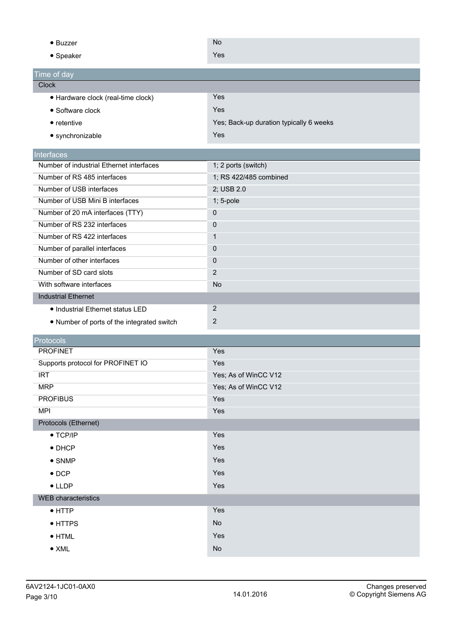|                                                 | <b>No</b>                                    |
|-------------------------------------------------|----------------------------------------------|
| $\bullet$ Buzzer                                |                                              |
| • Speaker                                       | Yes                                          |
| Time of day                                     |                                              |
| <b>Clock</b>                                    |                                              |
| · Hardware clock (real-time clock)              | Yes                                          |
| • Software clock                                | Yes                                          |
| $\bullet$ retentive                             | Yes; Back-up duration typically 6 weeks      |
| • synchronizable                                | Yes                                          |
| Interfaces                                      |                                              |
| Number of industrial Ethernet interfaces        | 1; 2 ports (switch)                          |
| Number of RS 485 interfaces                     | 1; RS 422/485 combined                       |
| Number of USB interfaces                        | 2; USB 2.0                                   |
| Number of USB Mini B interfaces                 | 1; 5-pole                                    |
| Number of 20 mA interfaces (TTY)                | $\pmb{0}$                                    |
| Number of RS 232 interfaces                     | 0                                            |
| Number of RS 422 interfaces                     | $\mathbf{1}$                                 |
| Number of parallel interfaces                   | $\mathbf{0}$                                 |
| Number of other interfaces                      | 0                                            |
| Number of SD card slots                         | 2                                            |
| With software interfaces                        | <b>No</b>                                    |
| <b>Industrial Ethernet</b>                      |                                              |
| • Industrial Ethernet status LED                | 2                                            |
| • Number of ports of the integrated switch      | $\sqrt{2}$                                   |
|                                                 |                                              |
| Protocols<br><b>PROFINET</b>                    | Yes                                          |
|                                                 | Yes                                          |
| Supports protocol for PROFINET IO<br><b>IRT</b> |                                              |
| <b>MRP</b>                                      | Yes; As of WinCC V12<br>Yes; As of WinCC V12 |
| <b>PROFIBUS</b>                                 | Yes                                          |
| <b>MPI</b>                                      | Yes                                          |
| Protocols (Ethernet)                            |                                              |
| $\bullet$ TCP/IP                                | Yes                                          |
| $\bullet$ DHCP                                  | Yes                                          |
|                                                 | Yes                                          |
| $\bullet$ SNMP                                  |                                              |
| $\bullet$ DCP                                   | Yes                                          |
| $\bullet$ LLDP                                  | Yes                                          |
| <b>WEB</b> characteristics                      |                                              |
| $\bullet$ HTTP                                  | Yes                                          |
| • HTTPS                                         | No                                           |
| $\bullet$ HTML                                  | Yes                                          |
| $\bullet$ XML                                   | $\mathsf{No}$                                |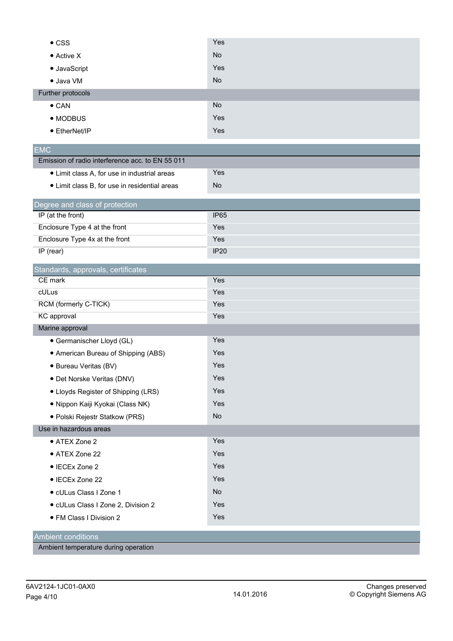| <b>No</b><br>• Active X<br>Yes<br>• JavaScript<br><b>No</b><br>· Java VM<br>Further protocols<br><b>No</b><br>$\bullet$ CAN<br>Yes<br>• MODBUS |
|------------------------------------------------------------------------------------------------------------------------------------------------|
|                                                                                                                                                |
|                                                                                                                                                |
|                                                                                                                                                |
|                                                                                                                                                |
|                                                                                                                                                |
|                                                                                                                                                |
| Yes<br>• EtherNet/IP                                                                                                                           |
| <b>EMC</b>                                                                                                                                     |
| Emission of radio interference acc. to EN 55 011                                                                                               |
| Yes<br>• Limit class A, for use in industrial areas                                                                                            |
| No<br>• Limit class B, for use in residential areas                                                                                            |
| Degree and class of protection                                                                                                                 |
| IP (at the front)<br><b>IP65</b>                                                                                                               |
| Enclosure Type 4 at the front<br>Yes                                                                                                           |
| Enclosure Type 4x at the front<br>Yes                                                                                                          |
| IP (rear)<br><b>IP20</b>                                                                                                                       |
| Standards, approvals, certificates                                                                                                             |
| CE mark<br>Yes                                                                                                                                 |
| cULus<br>Yes                                                                                                                                   |
| Yes<br>RCM (formerly C-TICK)                                                                                                                   |
| KC approval<br>Yes                                                                                                                             |
| Marine approval                                                                                                                                |
| Yes<br>· Germanischer Lloyd (GL)                                                                                                               |
| Yes<br>• American Bureau of Shipping (ABS)                                                                                                     |
| Yes<br>· Bureau Veritas (BV)                                                                                                                   |
| Yes<br>· Det Norske Veritas (DNV)                                                                                                              |
| Yes<br>• Lloyds Register of Shipping (LRS)                                                                                                     |
| Yes<br>· Nippon Kaiji Kyokai (Class NK)                                                                                                        |
| <b>No</b><br>· Polski Rejestr Statkow (PRS)                                                                                                    |
| Use in hazardous areas                                                                                                                         |
| Yes<br>• ATEX Zone 2                                                                                                                           |
| Yes<br>• ATEX Zone 22                                                                                                                          |
| Yes<br>• IECEx Zone 2                                                                                                                          |
| Yes<br>• IECEx Zone 22                                                                                                                         |
| · cULus Class I Zone 1<br>No                                                                                                                   |
| Yes<br>· cULus Class I Zone 2, Division 2                                                                                                      |
| Yes<br>• FM Class I Division 2                                                                                                                 |
| <b>Ambient conditions</b>                                                                                                                      |

Ambient temperature during operation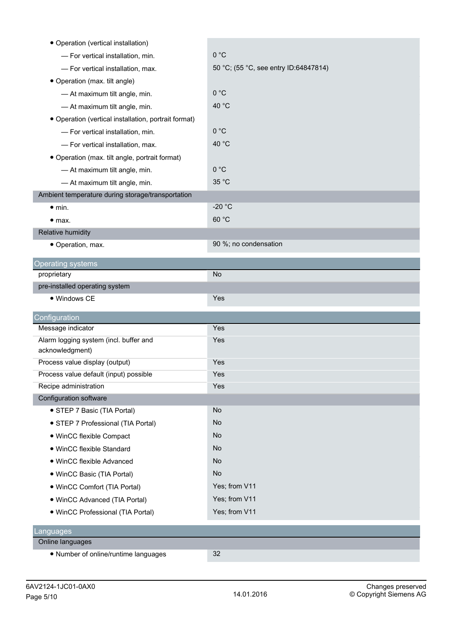| • Operation (vertical installation)                  |                                       |
|------------------------------------------------------|---------------------------------------|
| - For vertical installation, min.                    | 0 °C                                  |
| - For vertical installation, max.                    | 50 °C; (55 °C, see entry ID:64847814) |
| • Operation (max. tilt angle)                        |                                       |
| - At maximum tilt angle, min.                        | 0 °C                                  |
| - At maximum tilt angle, min.                        | 40 °C                                 |
| • Operation (vertical installation, portrait format) |                                       |
| - For vertical installation, min.                    | 0 °C                                  |
| - For vertical installation, max.                    | 40 °C                                 |
| • Operation (max. tilt angle, portrait format)       |                                       |
| - At maximum tilt angle, min.                        | 0 °C                                  |
| - At maximum tilt angle, min.                        | 35 °C                                 |
| Ambient temperature during storage/transportation    |                                       |
| $\bullet$ min.                                       | $-20 °C$                              |
| $\bullet$ max.                                       | 60 °C                                 |
| Relative humidity                                    |                                       |
| • Operation, max.                                    | 90 %; no condensation                 |
| <b>Operating systems</b>                             |                                       |
| proprietary                                          | <b>No</b>                             |
| pre-installed operating system                       |                                       |
| • Windows CE                                         | Yes                                   |
| Configuration                                        |                                       |
| Message indicator                                    | Yes                                   |
| Alarm logging system (incl. buffer and               | Yes                                   |
| acknowledgment)                                      |                                       |
| Process value display (output)                       | Yes                                   |
| Process value default (input) possible               | Yes                                   |
| Recipe administration                                | Yes                                   |
| Configuration software                               |                                       |
| • STEP 7 Basic (TIA Portal)                          | No                                    |
| • STEP 7 Professional (TIA Portal)                   | No                                    |
| • WinCC flexible Compact                             | No                                    |
| · WinCC flexible Standard                            | No                                    |
| . WinCC flexible Advanced                            | No                                    |
| • WinCC Basic (TIA Portal)                           | No                                    |
| • WinCC Comfort (TIA Portal)                         | Yes; from V11                         |
| • WinCC Advanced (TIA Portal)                        | Yes; from V11                         |
| · WinCC Professional (TIA Portal)                    | Yes; from V11                         |
| Languages                                            |                                       |
| Online languages                                     |                                       |
| • Number of online/runtime languages                 | 32                                    |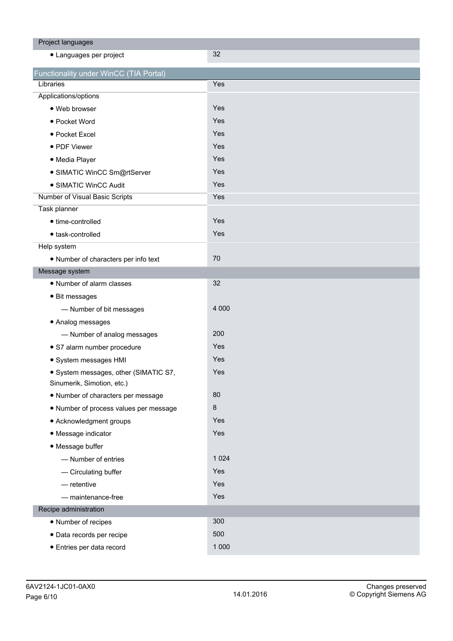| Project languages                      |         |
|----------------------------------------|---------|
| • Languages per project                | 32      |
| Functionality under WinCC (TIA Portal) |         |
| Libraries                              | Yes     |
| Applications/options                   |         |
| · Web browser                          | Yes     |
| • Pocket Word                          | Yes     |
| • Pocket Excel                         | Yes     |
| • PDF Viewer                           | Yes     |
| · Media Player                         | Yes     |
| · SIMATIC WinCC Sm@rtServer            | Yes     |
| • SIMATIC WinCC Audit                  | Yes     |
| Number of Visual Basic Scripts         | Yes     |
| Task planner                           |         |
| • time-controlled                      | Yes     |
| · task-controlled                      | Yes     |
| Help system                            |         |
| • Number of characters per info text   | 70      |
| Message system                         |         |
| • Number of alarm classes              | 32      |
| • Bit messages                         |         |
| - Number of bit messages               | 4 0 0 0 |
| • Analog messages                      |         |
| - Number of analog messages            | 200     |
| · S7 alarm number procedure            | Yes     |
| · System messages HMI                  | Yes     |
| · System messages, other (SIMATIC S7,  | Yes     |
| Sinumerik, Simotion, etc.)             |         |
| • Number of characters per message     | 80      |
| . Number of process values per message | $\bf 8$ |
| • Acknowledgment groups                | Yes     |
| • Message indicator                    | Yes     |
| • Message buffer                       |         |
| - Number of entries                    | 1 0 2 4 |
| - Circulating buffer                   | Yes     |
| $-$ retentive                          | Yes     |
| - maintenance-free                     | Yes     |
| Recipe administration                  |         |
| • Number of recipes                    | 300     |
| · Data records per recipe              | 500     |
| · Entries per data record              | 1 0 0 0 |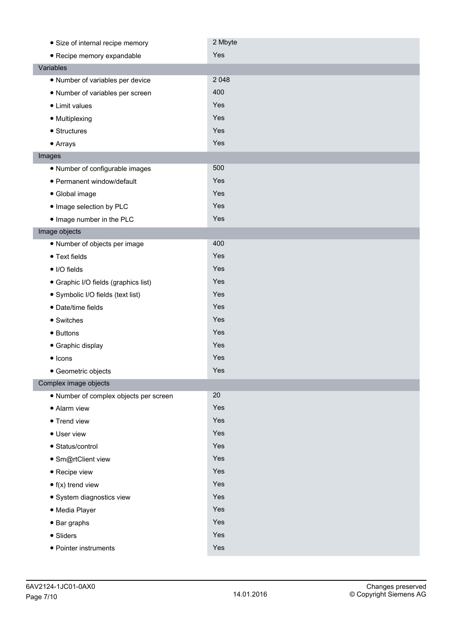| • Size of internal recipe memory       | 2 Mbyte |
|----------------------------------------|---------|
| • Recipe memory expandable             | Yes     |
| Variables                              |         |
| • Number of variables per device       | 2 0 4 8 |
| • Number of variables per screen       | 400     |
| • Limit values                         | Yes     |
| • Multiplexing                         | Yes     |
| • Structures                           | Yes     |
| • Arrays                               | Yes     |
| Images                                 |         |
| • Number of configurable images        | 500     |
| • Permanent window/default             | Yes     |
| • Global image                         | Yes     |
| . Image selection by PLC               | Yes     |
| . Image number in the PLC              | Yes     |
| Image objects                          |         |
| · Number of objects per image          | 400     |
| • Text fields                          | Yes     |
| • I/O fields                           | Yes     |
| • Graphic I/O fields (graphics list)   | Yes     |
| • Symbolic I/O fields (text list)      | Yes     |
| · Date/time fields                     | Yes     |
| • Switches                             | Yes     |
| • Buttons                              | Yes     |
| • Graphic display                      | Yes     |
| $\bullet$ Icons                        | Yes     |
| • Geometric objects                    | Yes     |
| Complex image objects                  |         |
| · Number of complex objects per screen | 20      |
| • Alarm view                           | Yes     |
| • Trend view                           | Yes     |
| • User view                            | Yes     |
| • Status/control                       | Yes     |
| · Sm@rtClient view                     | Yes     |
| • Recipe view                          | Yes     |
| $\bullet$ f(x) trend view              | Yes     |
| · System diagnostics view              | Yes     |
| · Media Player                         | Yes     |
| $\bullet$ Bar graphs                   | Yes     |
| • Sliders                              | Yes     |
| • Pointer instruments                  | Yes     |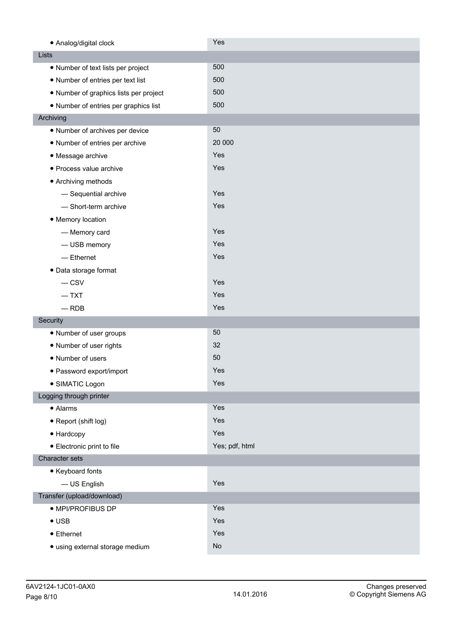| • Analog/digital clock                 | Yes            |
|----------------------------------------|----------------|
| Lists                                  |                |
| • Number of text lists per project     | 500            |
| • Number of entries per text list      | 500            |
| • Number of graphics lists per project | 500            |
| • Number of entries per graphics list  | 500            |
| Archiving                              |                |
| • Number of archives per device        | 50             |
| • Number of entries per archive        | 20 000         |
| • Message archive                      | Yes            |
| · Process value archive                | Yes            |
| • Archiving methods                    |                |
| - Sequential archive                   | Yes            |
| - Short-term archive                   | Yes            |
| • Memory location                      |                |
| - Memory card                          | Yes            |
| - USB memory                           | Yes            |
| $-$ Ethernet                           | Yes            |
| · Data storage format                  |                |
| $-$ CSV                                | Yes            |
| $-$ TXT                                | Yes            |
| $-$ RDB                                | Yes            |
| Security                               |                |
| • Number of user groups                | 50             |
| • Number of user rights                | 32             |
| • Number of users                      | 50             |
| · Password export/import               | Yes            |
| · SIMATIC Logon                        | Yes            |
| Logging through printer                |                |
| • Alarms                               | Yes            |
| • Report (shift log)                   | Yes            |
| • Hardcopy                             | Yes            |
| • Electronic print to file             | Yes; pdf, html |
| Character sets                         |                |
| • Keyboard fonts                       |                |
| - US English                           | Yes            |
| Transfer (upload/download)             |                |
| · MPI/PROFIBUS DP                      | Yes            |
| $\bullet$ USB                          | Yes            |
| $\bullet$ Ethernet                     | Yes            |
| · using external storage medium        | No             |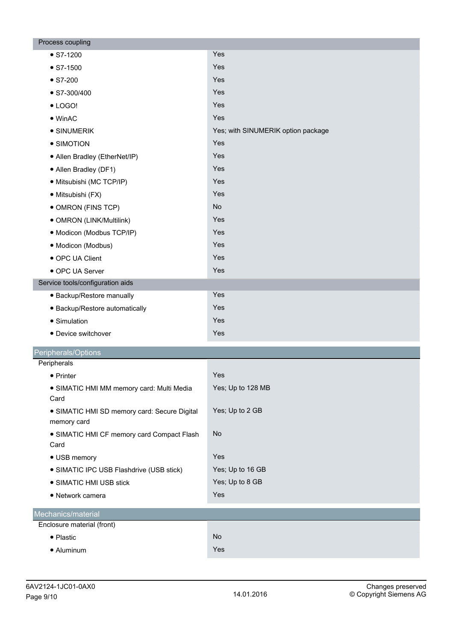| Process coupling                                            |                                    |
|-------------------------------------------------------------|------------------------------------|
| $\bullet$ S7-1200                                           | Yes                                |
| $\bullet$ S7-1500                                           | Yes                                |
| $\bullet$ S7-200                                            | Yes                                |
| $\bullet$ S7-300/400                                        | Yes                                |
| $\bullet$ LOGO!                                             | Yes                                |
| $\bullet$ WinAC                                             | Yes                                |
| • SINUMERIK                                                 | Yes; with SINUMERIK option package |
| • SIMOTION                                                  | Yes                                |
| • Allen Bradley (EtherNet/IP)                               | Yes                                |
| • Allen Bradley (DF1)                                       | Yes                                |
| · Mitsubishi (MC TCP/IP)                                    | Yes                                |
| · Mitsubishi (FX)                                           | Yes                                |
| • OMRON (FINS TCP)                                          | <b>No</b>                          |
| • OMRON (LINK/Multilink)                                    | Yes                                |
| · Modicon (Modbus TCP/IP)                                   | Yes                                |
| · Modicon (Modbus)                                          | Yes                                |
| • OPC UA Client                                             | Yes                                |
| • OPC UA Server                                             | Yes                                |
| Service tools/configuration aids                            |                                    |
| · Backup/Restore manually                                   | Yes                                |
| · Backup/Restore automatically                              | Yes                                |
| • Simulation                                                | Yes                                |
| • Device switchover                                         | Yes                                |
| Peripherals/Options                                         |                                    |
| Peripherals                                                 |                                    |
| • Printer                                                   | Yes                                |
| · SIMATIC HMI MM memory card: Multi Media<br>Card           | Yes; Up to 128 MB                  |
| • SIMATIC HMI SD memory card: Secure Digital<br>memory card | Yes; Up to 2 GB                    |
| • SIMATIC HMI CF memory card Compact Flash<br>Card          | <b>No</b>                          |
| • USB memory                                                | Yes                                |
| • SIMATIC IPC USB Flashdrive (USB stick)                    | Yes; Up to 16 GB                   |
| • SIMATIC HMI USB stick                                     | Yes; Up to 8 GB                    |
| • Network camera                                            | Yes                                |
| Mechanics/material                                          |                                    |
| Enclosure material (front)                                  |                                    |
| • Plastic                                                   | <b>No</b>                          |
| • Aluminum                                                  | Yes                                |